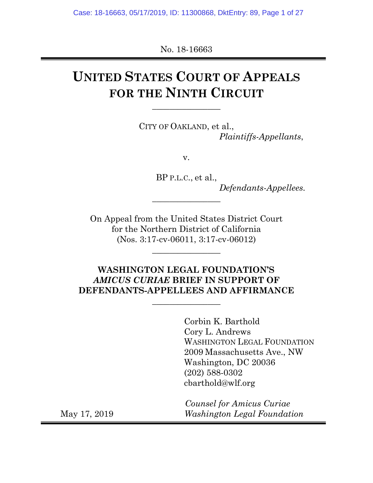No. 18-16663

# **UNITED STATES COURT OF APPEALS FOR THE NINTH CIRCUIT**

**\_\_\_\_\_\_\_\_\_\_\_\_\_\_\_\_** 

CITY OF OAKLAND, et al., *Plaintiffs-Appellants*,

v.

BP P.L.C., et al., *Defendants-Appellees.*

On Appeal from the United States District Court for the Northern District of California (Nos. 3:17-cv-06011, 3:17-cv-06012)

**\_\_\_\_\_\_\_\_\_\_\_\_\_\_\_\_**

**\_\_\_\_\_\_\_\_\_\_\_\_\_\_\_\_** 

### **WASHINGTON LEGAL FOUNDATION'S**  *AMICUS CURIAE* **BRIEF IN SUPPORT OF DEFENDANTS-APPELLEES AND AFFIRMANCE**

**\_\_\_\_\_\_\_\_\_\_\_\_\_\_\_\_** 

 Corbin K. Barthold Cory L. Andrews WASHINGTON LEGAL FOUNDATION 2009 Massachusetts Ave., NW Washington, DC 20036 (202) 588-0302 cbarthold@wlf.org

 *Counsel for Amicus Curiae*  May 17, 2019 *Washington Legal Foundation*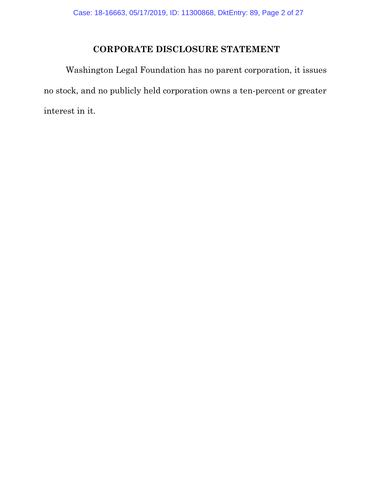## **CORPORATE DISCLOSURE STATEMENT**

Washington Legal Foundation has no parent corporation, it issues no stock, and no publicly held corporation owns a ten-percent or greater interest in it.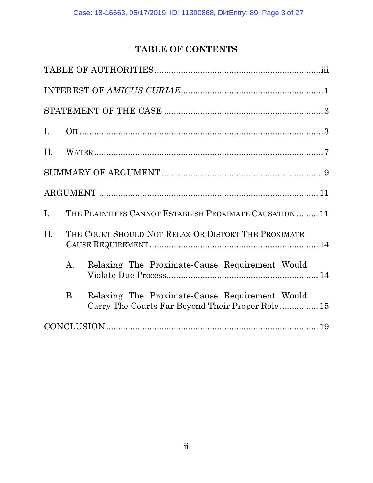## **TABLE OF CONTENTS**

| I.          |                |                                                                                                    |
|-------------|----------------|----------------------------------------------------------------------------------------------------|
|             |                |                                                                                                    |
|             |                |                                                                                                    |
|             |                |                                                                                                    |
| $I_{\cdot}$ |                | THE PLAINTIFFS CANNOT ESTABLISH PROXIMATE CAUSATION  11                                            |
| $\Pi$ .     |                | THE COURT SHOULD NOT RELAX OR DISTORT THE PROXIMATE-                                               |
|             | A.             | Relaxing The Proximate-Cause Requirement Would                                                     |
|             | $\mathbf{B}$ . | Relaxing The Proximate-Cause Requirement Would<br>Carry The Courts Far Beyond Their Proper Role 15 |
|             |                |                                                                                                    |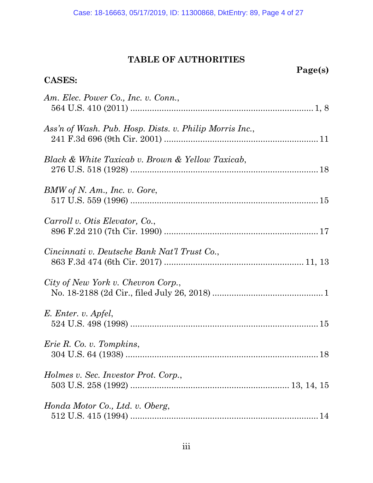## **TABLE OF AUTHORITIES**

| Page(s) |
|---------|
|---------|

| <b>CASES:</b>                                           |
|---------------------------------------------------------|
| Am. Elec. Power Co., Inc. v. Conn.,                     |
|                                                         |
| Ass'n of Wash. Pub. Hosp. Dists. v. Philip Morris Inc., |
| Black & White Taxicab v. Brown & Yellow Taxicab,        |
| $BMW$ of N. Am., Inc. v. Gore,                          |
|                                                         |
| Carroll v. Otis Elevator, Co.,                          |
| Cincinnati v. Deutsche Bank Nat'l Trust Co.,            |
| City of New York v. Chevron Corp.,                      |
| E. Enter. v. Apfel,                                     |
| <i>Erie R. Co. v. Tompkins,</i>                         |
| Holmes v. Sec. Investor Prot. Corp.,                    |
| Honda Motor Co., Ltd. v. Oberg,                         |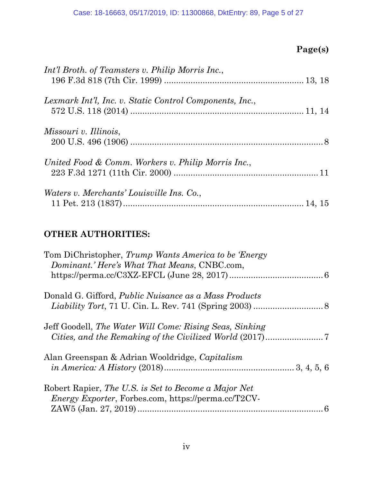## **Page(s)**

| Int'l Broth. of Teamsters v. Philip Morris Inc.,        |  |
|---------------------------------------------------------|--|
| Lexmark Int'l, Inc. v. Static Control Components, Inc., |  |
| Missouri v. Illinois,                                   |  |
| United Food & Comm. Workers v. Philip Morris Inc.,      |  |
| <i>Waters v. Merchants' Louisville Ins. Co.,</i>        |  |

## **OTHER AUTHORITIES:**

| Tom DiChristopher, Trump Wants America to be 'Energy<br>Dominant.' Here's What That Means, CNBC.com,               |   |
|--------------------------------------------------------------------------------------------------------------------|---|
| Donald G. Gifford, <i>Public Nuisance as a Mass Products</i>                                                       |   |
| Jeff Goodell, The Water Will Come: Rising Seas, Sinking                                                            |   |
| Alan Greenspan & Adrian Wooldridge, Capitalism                                                                     |   |
| Robert Rapier, The U.S. is Set to Become a Major Net<br><i>Energy Exporter, Forbes.com, https://perma.cc/T2CV-</i> |   |
|                                                                                                                    | 6 |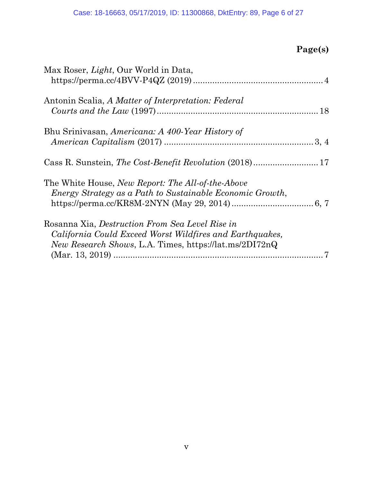## **Page(s)**

| Max Roser, <i>Light</i> , Our World in Data,                                                                                                                                  |  |
|-------------------------------------------------------------------------------------------------------------------------------------------------------------------------------|--|
| Antonin Scalia, A Matter of Interpretation: Federal                                                                                                                           |  |
| Bhu Srinivasan, Americana: A 400-Year History of                                                                                                                              |  |
|                                                                                                                                                                               |  |
| The White House, <i>New Report: The All-of-the-Above</i><br>Energy Strategy as a Path to Sustainable Economic Growth,                                                         |  |
| Rosanna Xia, Destruction From Sea Level Rise in<br>California Could Exceed Worst Wildfires and Earthquakes,<br><i>New Research Shows, L.A. Times, https://lat.ms/2DI72nQ.</i> |  |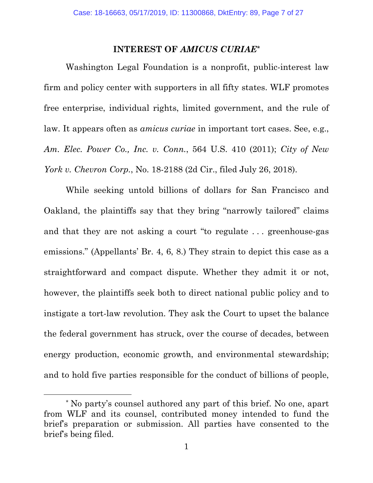#### **INTEREST OF** *AMICUS CURIAE\**

Washington Legal Foundation is a nonprofit, public-interest law firm and policy center with supporters in all fifty states. WLF promotes free enterprise, individual rights, limited government, and the rule of law. It appears often as *amicus curiae* in important tort cases. See, e.g., *Am. Elec. Power Co., Inc. v. Conn.*, 564 U.S. 410 (2011); *City of New York v. Chevron Corp.*, No. 18-2188 (2d Cir., filed July 26, 2018).

While seeking untold billions of dollars for San Francisco and Oakland, the plaintiffs say that they bring "narrowly tailored" claims and that they are not asking a court "to regulate . . . greenhouse-gas emissions." (Appellants' Br. 4, 6, 8.) They strain to depict this case as a straightforward and compact dispute. Whether they admit it or not, however, the plaintiffs seek both to direct national public policy and to instigate a tort-law revolution. They ask the Court to upset the balance the federal government has struck, over the course of decades, between energy production, economic growth, and environmental stewardship; and to hold five parties responsible for the conduct of billions of people,

 $\overline{a}$ 

<sup>\*</sup> No party's counsel authored any part of this brief. No one, apart from WLF and its counsel, contributed money intended to fund the brief's preparation or submission. All parties have consented to the brief's being filed.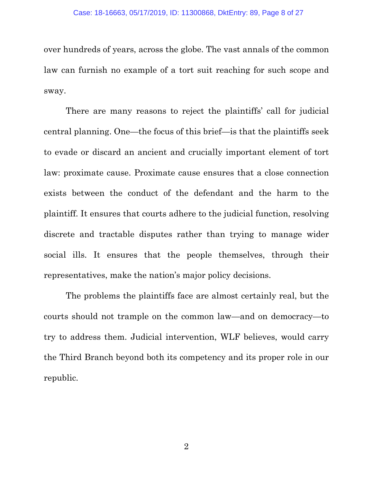#### Case: 18-16663, 05/17/2019, ID: 11300868, DktEntry: 89, Page 8 of 27

over hundreds of years, across the globe. The vast annals of the common law can furnish no example of a tort suit reaching for such scope and sway.

There are many reasons to reject the plaintiffs' call for judicial central planning. One—the focus of this brief—is that the plaintiffs seek to evade or discard an ancient and crucially important element of tort law: proximate cause. Proximate cause ensures that a close connection exists between the conduct of the defendant and the harm to the plaintiff. It ensures that courts adhere to the judicial function, resolving discrete and tractable disputes rather than trying to manage wider social ills. It ensures that the people themselves, through their representatives, make the nation's major policy decisions.

The problems the plaintiffs face are almost certainly real, but the courts should not trample on the common law—and on democracy—to try to address them. Judicial intervention, WLF believes, would carry the Third Branch beyond both its competency and its proper role in our republic.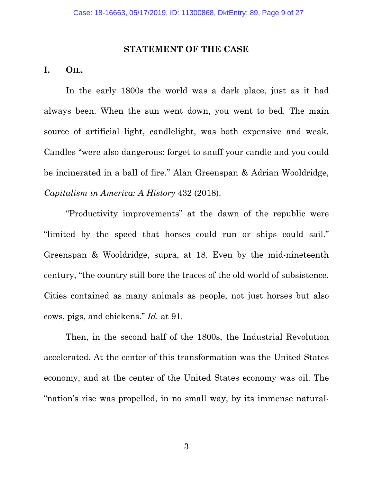#### **STATEMENT OF THE CASE**

### **I. OIL.**

In the early 1800s the world was a dark place, just as it had always been. When the sun went down, you went to bed. The main source of artificial light, candlelight, was both expensive and weak. Candles "were also dangerous: forget to snuff your candle and you could be incinerated in a ball of fire." Alan Greenspan & Adrian Wooldridge, *Capitalism in America: A History* 432 (2018).

"Productivity improvements" at the dawn of the republic were "limited by the speed that horses could run or ships could sail." Greenspan & Wooldridge, supra, at 18. Even by the mid-nineteenth century, "the country still bore the traces of the old world of subsistence. Cities contained as many animals as people, not just horses but also cows, pigs, and chickens." *Id.* at 91.

Then, in the second half of the 1800s, the Industrial Revolution accelerated. At the center of this transformation was the United States economy, and at the center of the United States economy was oil. The "nation's rise was propelled, in no small way, by its immense natural-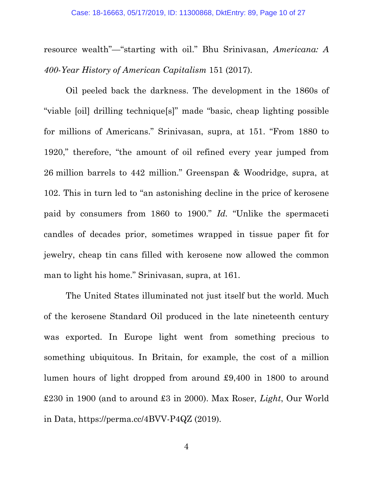resource wealth"—"starting with oil." Bhu Srinivasan, *Americana: A 400-Year History of American Capitalism* 151 (2017).

Oil peeled back the darkness. The development in the 1860s of "viable [oil] drilling technique[s]" made "basic, cheap lighting possible for millions of Americans." Srinivasan, supra, at 151. "From 1880 to 1920," therefore, "the amount of oil refined every year jumped from 26 million barrels to 442 million." Greenspan & Woodridge, supra, at 102. This in turn led to "an astonishing decline in the price of kerosene paid by consumers from 1860 to 1900." *Id.* "Unlike the spermaceti candles of decades prior, sometimes wrapped in tissue paper fit for jewelry, cheap tin cans filled with kerosene now allowed the common man to light his home." Srinivasan, supra, at 161.

The United States illuminated not just itself but the world. Much of the kerosene Standard Oil produced in the late nineteenth century was exported. In Europe light went from something precious to something ubiquitous. In Britain, for example, the cost of a million lumen hours of light dropped from around £9,400 in 1800 to around £230 in 1900 (and to around £3 in 2000). Max Roser, *Light*, Our World in Data, https://perma.cc/4BVV-P4QZ (2019).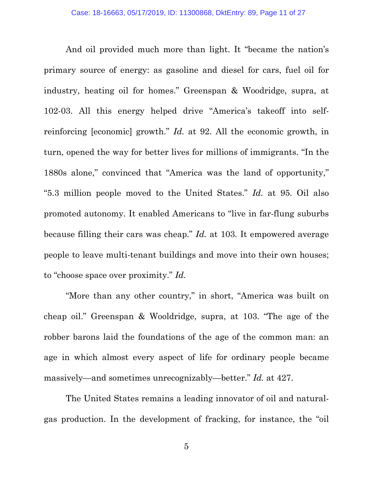And oil provided much more than light. It "became the nation's primary source of energy: as gasoline and diesel for cars, fuel oil for industry, heating oil for homes." Greenspan & Woodridge, supra, at 102-03. All this energy helped drive "America's takeoff into selfreinforcing [economic] growth." *Id.* at 92. All the economic growth, in turn, opened the way for better lives for millions of immigrants. "In the 1880s alone," convinced that "America was the land of opportunity," "5.3 million people moved to the United States." *Id.* at 95. Oil also promoted autonomy. It enabled Americans to "live in far-flung suburbs because filling their cars was cheap." *Id.* at 103. It empowered average people to leave multi-tenant buildings and move into their own houses; to "choose space over proximity." *Id.*

"More than any other country," in short, "America was built on cheap oil." Greenspan & Wooldridge, supra, at 103. "The age of the robber barons laid the foundations of the age of the common man: an age in which almost every aspect of life for ordinary people became massively—and sometimes unrecognizably—better." *Id.* at 427.

The United States remains a leading innovator of oil and naturalgas production. In the development of fracking, for instance, the "oil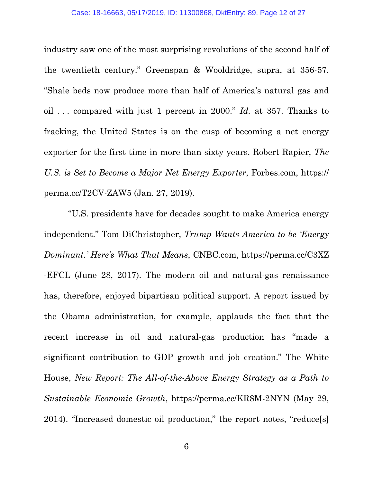industry saw one of the most surprising revolutions of the second half of the twentieth century." Greenspan & Wooldridge, supra, at 356-57. "Shale beds now produce more than half of America's natural gas and oil . . . compared with just 1 percent in 2000." *Id.* at 357. Thanks to fracking, the United States is on the cusp of becoming a net energy exporter for the first time in more than sixty years. Robert Rapier, *The U.S. is Set to Become a Major Net Energy Exporter*, Forbes.com, https:// perma.cc/T2CV-ZAW5 (Jan. 27, 2019).

 "U.S. presidents have for decades sought to make America energy independent." Tom DiChristopher, *Trump Wants America to be 'Energy Dominant.' Here's What That Means*, CNBC.com, https://perma.cc/C3XZ -EFCL (June 28, 2017). The modern oil and natural-gas renaissance has, therefore, enjoyed bipartisan political support. A report issued by the Obama administration, for example, applauds the fact that the recent increase in oil and natural-gas production has "made a significant contribution to GDP growth and job creation." The White House, *New Report: The All-of-the-Above Energy Strategy as a Path to Sustainable Economic Growth*, https://perma.cc/KR8M-2NYN (May 29, 2014). "Increased domestic oil production," the report notes, "reduce[s]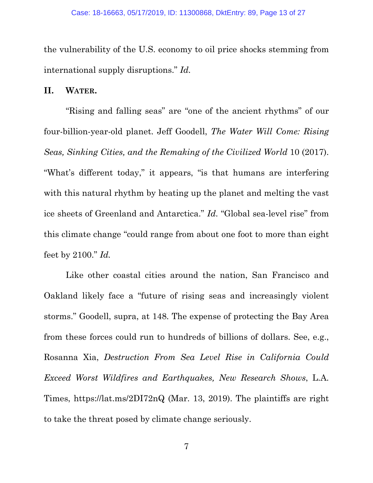the vulnerability of the U.S. economy to oil price shocks stemming from international supply disruptions." *Id.*

#### **II. WATER.**

"Rising and falling seas" are "one of the ancient rhythms" of our four-billion-year-old planet. Jeff Goodell, *The Water Will Come: Rising Seas, Sinking Cities, and the Remaking of the Civilized World* 10 (2017). "What's different today," it appears, "is that humans are interfering with this natural rhythm by heating up the planet and melting the vast ice sheets of Greenland and Antarctica." *Id*. "Global sea-level rise" from this climate change "could range from about one foot to more than eight feet by 2100." *Id.*

Like other coastal cities around the nation, San Francisco and Oakland likely face a "future of rising seas and increasingly violent storms." Goodell, supra, at 148. The expense of protecting the Bay Area from these forces could run to hundreds of billions of dollars. See, e.g., Rosanna Xia, *Destruction From Sea Level Rise in California Could Exceed Worst Wildfires and Earthquakes, New Research Shows*, L.A. Times, https://lat.ms/2DI72nQ (Mar. 13, 2019). The plaintiffs are right to take the threat posed by climate change seriously.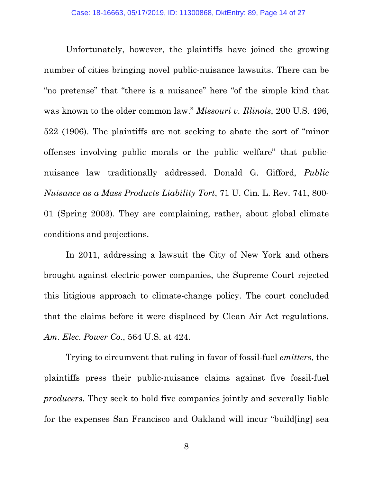Unfortunately, however, the plaintiffs have joined the growing number of cities bringing novel public-nuisance lawsuits. There can be "no pretense" that "there is a nuisance" here "of the simple kind that was known to the older common law." *Missouri v. Illinois*, 200 U.S. 496, 522 (1906). The plaintiffs are not seeking to abate the sort of "minor offenses involving public morals or the public welfare" that publicnuisance law traditionally addressed. Donald G. Gifford, *Public Nuisance as a Mass Products Liability Tort*, 71 U. Cin. L. Rev. 741, 800- 01 (Spring 2003). They are complaining, rather, about global climate conditions and projections.

In 2011, addressing a lawsuit the City of New York and others brought against electric-power companies, the Supreme Court rejected this litigious approach to climate-change policy. The court concluded that the claims before it were displaced by Clean Air Act regulations. *Am. Elec. Power Co.*, 564 U.S. at 424.

Trying to circumvent that ruling in favor of fossil-fuel *emitters*, the plaintiffs press their public-nuisance claims against five fossil-fuel *producers*. They seek to hold five companies jointly and severally liable for the expenses San Francisco and Oakland will incur "build[ing] sea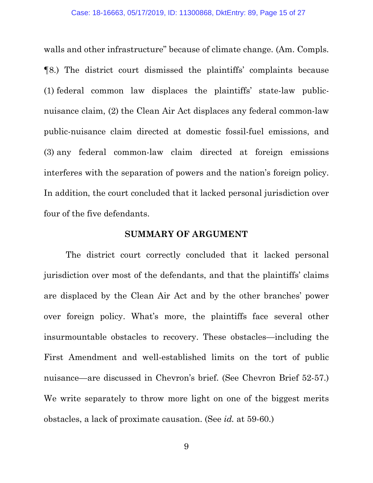walls and other infrastructure" because of climate change. (Am. Compls. ¶8.) The district court dismissed the plaintiffs' complaints because (1) federal common law displaces the plaintiffs' state-law publicnuisance claim, (2) the Clean Air Act displaces any federal common-law public-nuisance claim directed at domestic fossil-fuel emissions, and (3) any federal common-law claim directed at foreign emissions interferes with the separation of powers and the nation's foreign policy. In addition, the court concluded that it lacked personal jurisdiction over four of the five defendants.

#### **SUMMARY OF ARGUMENT**

The district court correctly concluded that it lacked personal jurisdiction over most of the defendants, and that the plaintiffs' claims are displaced by the Clean Air Act and by the other branches' power over foreign policy. What's more, the plaintiffs face several other insurmountable obstacles to recovery. These obstacles—including the First Amendment and well-established limits on the tort of public nuisance—are discussed in Chevron's brief. (See Chevron Brief 52-57.) We write separately to throw more light on one of the biggest merits obstacles, a lack of proximate causation. (See *id.* at 59-60.)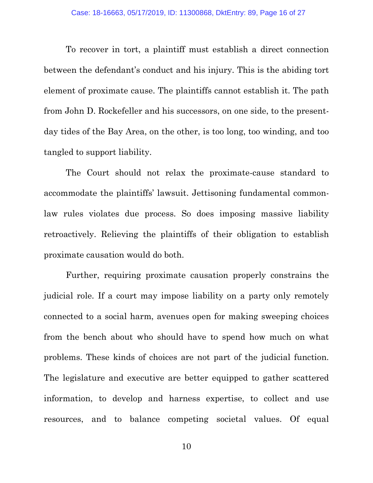To recover in tort, a plaintiff must establish a direct connection between the defendant's conduct and his injury. This is the abiding tort element of proximate cause. The plaintiffs cannot establish it. The path from John D. Rockefeller and his successors, on one side, to the presentday tides of the Bay Area, on the other, is too long, too winding, and too tangled to support liability.

The Court should not relax the proximate-cause standard to accommodate the plaintiffs' lawsuit. Jettisoning fundamental commonlaw rules violates due process. So does imposing massive liability retroactively. Relieving the plaintiffs of their obligation to establish proximate causation would do both.

Further, requiring proximate causation properly constrains the judicial role. If a court may impose liability on a party only remotely connected to a social harm, avenues open for making sweeping choices from the bench about who should have to spend how much on what problems. These kinds of choices are not part of the judicial function. The legislature and executive are better equipped to gather scattered information, to develop and harness expertise, to collect and use resources, and to balance competing societal values. Of equal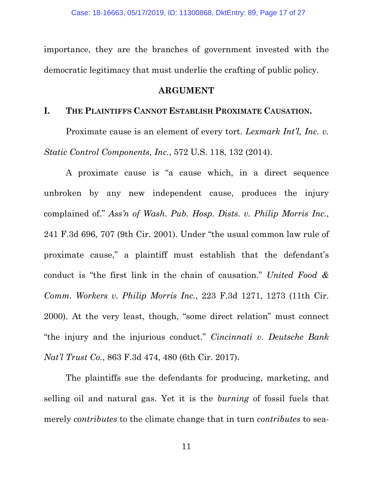importance, they are the branches of government invested with the democratic legitimacy that must underlie the crafting of public policy.

#### **ARGUMENT**

#### **I. THE PLAINTIFFS CANNOT ESTABLISH PROXIMATE CAUSATION.**

Proximate cause is an element of every tort. *Lexmark Int'l, Inc. v. Static Control Components, Inc.*, 572 U.S. 118, 132 (2014).

A proximate cause is "a cause which, in a direct sequence unbroken by any new independent cause, produces the injury complained of." *Ass'n of Wash. Pub. Hosp. Dists. v. Philip Morris Inc.*, 241 F.3d 696, 707 (9th Cir. 2001). Under "the usual common law rule of proximate cause," a plaintiff must establish that the defendant's conduct is "the first link in the chain of causation." *United Food & Comm. Workers v. Philip Morris Inc.*, 223 F.3d 1271, 1273 (11th Cir. 2000). At the very least, though, "some direct relation" must connect "the injury and the injurious conduct." *Cincinnati v. Deutsche Bank Nat'l Trust Co.*, 863 F.3d 474, 480 (6th Cir. 2017).

The plaintiffs sue the defendants for producing, marketing, and selling oil and natural gas. Yet it is the *burning* of fossil fuels that merely *contributes* to the climate change that in turn *contributes* to sea-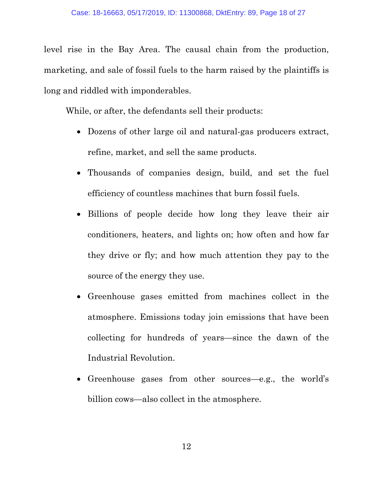level rise in the Bay Area. The causal chain from the production, marketing, and sale of fossil fuels to the harm raised by the plaintiffs is long and riddled with imponderables.

While, or after, the defendants sell their products:

- Dozens of other large oil and natural-gas producers extract, refine, market, and sell the same products.
- Thousands of companies design, build, and set the fuel efficiency of countless machines that burn fossil fuels.
- Billions of people decide how long they leave their air conditioners, heaters, and lights on; how often and how far they drive or fly; and how much attention they pay to the source of the energy they use.
- Greenhouse gases emitted from machines collect in the atmosphere. Emissions today join emissions that have been collecting for hundreds of years—since the dawn of the Industrial Revolution.
- Greenhouse gases from other sources—e.g., the world's billion cows—also collect in the atmosphere.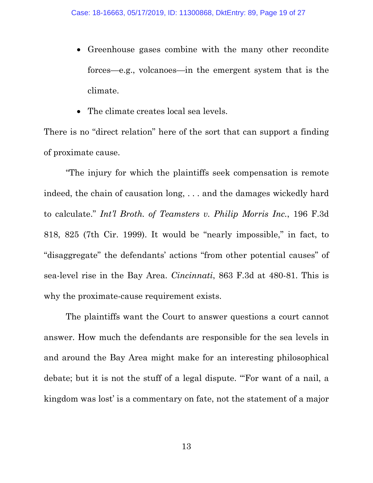- Greenhouse gases combine with the many other recondite forces—e.g., volcanoes—in the emergent system that is the climate.
- The climate creates local sea levels.

There is no "direct relation" here of the sort that can support a finding of proximate cause.

"The injury for which the plaintiffs seek compensation is remote indeed, the chain of causation long, . . . and the damages wickedly hard to calculate." *Int'l Broth. of Teamsters v. Philip Morris Inc.*, 196 F.3d 818, 825 (7th Cir. 1999). It would be "nearly impossible," in fact, to "disaggregate" the defendants' actions "from other potential causes" of sea-level rise in the Bay Area. *Cincinnati*, 863 F.3d at 480-81. This is why the proximate-cause requirement exists.

The plaintiffs want the Court to answer questions a court cannot answer. How much the defendants are responsible for the sea levels in and around the Bay Area might make for an interesting philosophical debate; but it is not the stuff of a legal dispute. "'For want of a nail, a kingdom was lost' is a commentary on fate, not the statement of a major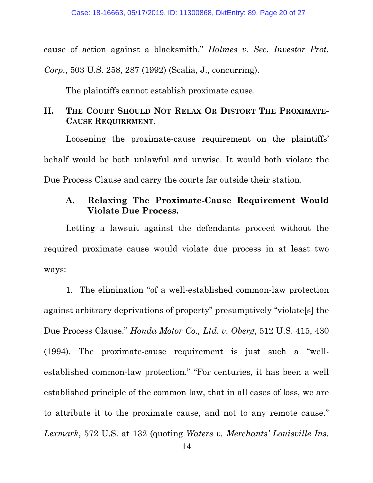cause of action against a blacksmith." *Holmes v. Sec. Investor Prot. Corp.*, 503 U.S. 258, 287 (1992) (Scalia, J., concurring).

The plaintiffs cannot establish proximate cause.

## **II. THE COURT SHOULD NOT RELAX OR DISTORT THE PROXIMATE-CAUSE REQUIREMENT.**

Loosening the proximate-cause requirement on the plaintiffs' behalf would be both unlawful and unwise. It would both violate the Due Process Clause and carry the courts far outside their station.

### **A. Relaxing The Proximate-Cause Requirement Would Violate Due Process.**

 Letting a lawsuit against the defendants proceed without the required proximate cause would violate due process in at least two ways:

 1. The elimination "of a well-established common-law protection against arbitrary deprivations of property" presumptively "violate[s] the Due Process Clause." *Honda Motor Co., Ltd. v. Oberg*, 512 U.S. 415, 430 (1994). The proximate-cause requirement is just such a "wellestablished common-law protection." "For centuries, it has been a well established principle of the common law, that in all cases of loss, we are to attribute it to the proximate cause, and not to any remote cause." *Lexmark*, 572 U.S. at 132 (quoting *Waters v. Merchants' Louisville Ins.*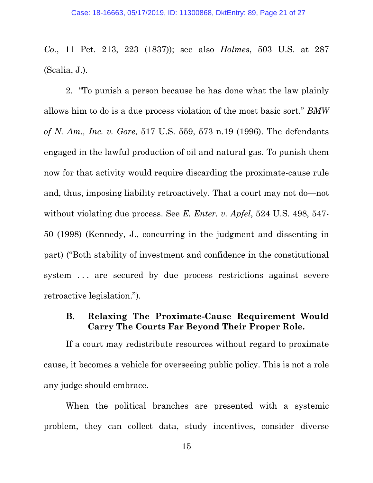*Co.*, 11 Pet. 213, 223 (1837)); see also *Holmes*, 503 U.S. at 287 (Scalia, J.).

2. "To punish a person because he has done what the law plainly allows him to do is a due process violation of the most basic sort." *BMW of N. Am., Inc. v. Gore*, 517 U.S. 559, 573 n.19 (1996). The defendants engaged in the lawful production of oil and natural gas. To punish them now for that activity would require discarding the proximate-cause rule and, thus, imposing liability retroactively. That a court may not do—not without violating due process. See *E. Enter. v. Apfel*, 524 U.S. 498, 547- 50 (1998) (Kennedy, J., concurring in the judgment and dissenting in part) ("Both stability of investment and confidence in the constitutional system ... are secured by due process restrictions against severe retroactive legislation.").

### **B. Relaxing The Proximate-Cause Requirement Would Carry The Courts Far Beyond Their Proper Role.**

If a court may redistribute resources without regard to proximate cause, it becomes a vehicle for overseeing public policy. This is not a role any judge should embrace.

When the political branches are presented with a systemic problem, they can collect data, study incentives, consider diverse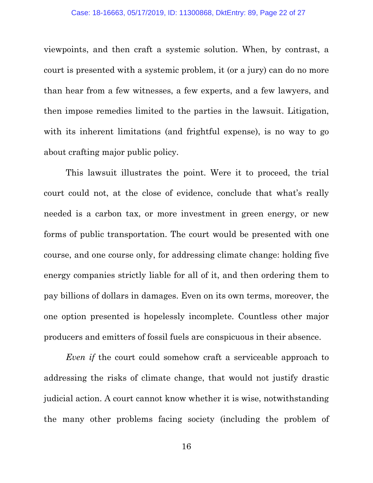viewpoints, and then craft a systemic solution. When, by contrast, a court is presented with a systemic problem, it (or a jury) can do no more than hear from a few witnesses, a few experts, and a few lawyers, and then impose remedies limited to the parties in the lawsuit. Litigation, with its inherent limitations (and frightful expense), is no way to go about crafting major public policy.

This lawsuit illustrates the point. Were it to proceed, the trial court could not, at the close of evidence, conclude that what's really needed is a carbon tax, or more investment in green energy, or new forms of public transportation. The court would be presented with one course, and one course only, for addressing climate change: holding five energy companies strictly liable for all of it, and then ordering them to pay billions of dollars in damages. Even on its own terms, moreover, the one option presented is hopelessly incomplete. Countless other major producers and emitters of fossil fuels are conspicuous in their absence.

*Even if* the court could somehow craft a serviceable approach to addressing the risks of climate change, that would not justify drastic judicial action. A court cannot know whether it is wise, notwithstanding the many other problems facing society (including the problem of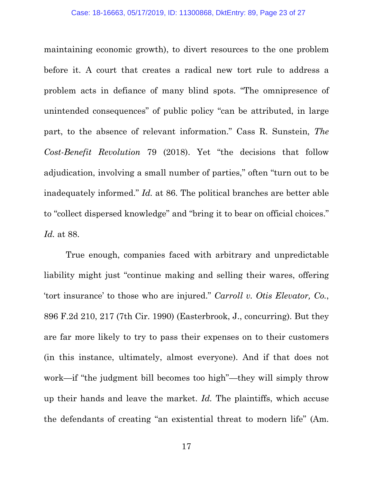maintaining economic growth), to divert resources to the one problem before it. A court that creates a radical new tort rule to address a problem acts in defiance of many blind spots. "The omnipresence of unintended consequences" of public policy "can be attributed, in large part, to the absence of relevant information." Cass R. Sunstein, *The Cost-Benefit Revolution* 79 (2018). Yet "the decisions that follow adjudication, involving a small number of parties," often "turn out to be inadequately informed." *Id.* at 86. The political branches are better able to "collect dispersed knowledge" and "bring it to bear on official choices." *Id.* at 88.

True enough, companies faced with arbitrary and unpredictable liability might just "continue making and selling their wares, offering 'tort insurance' to those who are injured." *Carroll v. Otis Elevator, Co.*, 896 F.2d 210, 217 (7th Cir. 1990) (Easterbrook, J., concurring). But they are far more likely to try to pass their expenses on to their customers (in this instance, ultimately, almost everyone). And if that does not work—if "the judgment bill becomes too high"—they will simply throw up their hands and leave the market. *Id.* The plaintiffs, which accuse the defendants of creating "an existential threat to modern life" (Am.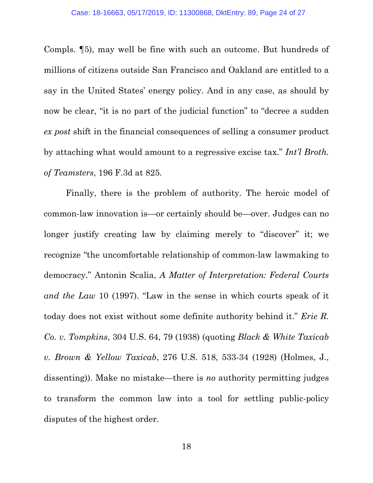Compls. ¶5), may well be fine with such an outcome. But hundreds of millions of citizens outside San Francisco and Oakland are entitled to a say in the United States' energy policy. And in any case, as should by now be clear, "it is no part of the judicial function" to "decree a sudden *ex post* shift in the financial consequences of selling a consumer product by attaching what would amount to a regressive excise tax." *Int'l Broth. of Teamsters*, 196 F.3d at 825.

Finally, there is the problem of authority. The heroic model of common-law innovation is—or certainly should be—over. Judges can no longer justify creating law by claiming merely to "discover" it; we recognize "the uncomfortable relationship of common-law lawmaking to democracy." Antonin Scalia, *A Matter of Interpretation: Federal Courts and the Law* 10 (1997). "Law in the sense in which courts speak of it today does not exist without some definite authority behind it." *Erie R. Co. v. Tompkins*, 304 U.S. 64, 79 (1938) (quoting *Black & White Taxicab v. Brown & Yellow Taxicab*, 276 U.S. 518, 533-34 (1928) (Holmes, J., dissenting)). Make no mistake—there is *no* authority permitting judges to transform the common law into a tool for settling public-policy disputes of the highest order.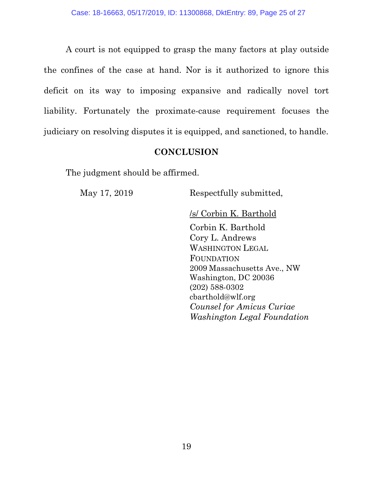A court is not equipped to grasp the many factors at play outside the confines of the case at hand. Nor is it authorized to ignore this deficit on its way to imposing expansive and radically novel tort liability. Fortunately the proximate-cause requirement focuses the judiciary on resolving disputes it is equipped, and sanctioned, to handle.

## **CONCLUSION**

The judgment should be affirmed.

May 17, 2019 Respectfully submitted,

/s/ Corbin K. Barthold

Corbin K. Barthold Cory L. Andrews WASHINGTON LEGAL FOUNDATION 2009 Massachusetts Ave., NW Washington, DC 20036 (202) 588-0302 cbarthold@wlf.org  *Counsel for Amicus Curiae Washington Legal Foundation*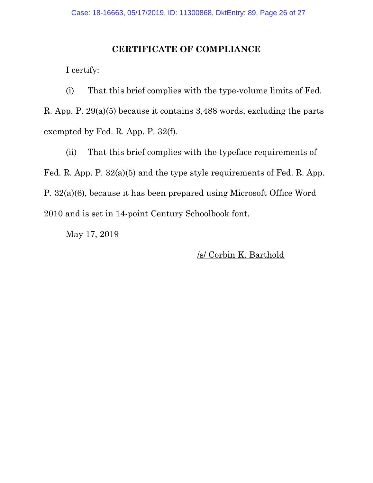### **CERTIFICATE OF COMPLIANCE**

I certify:

(i) That this brief complies with the type-volume limits of Fed. R. App. P. 29(a)(5) because it contains 3,488 words, excluding the parts exempted by Fed. R. App. P. 32(f).

 (ii) That this brief complies with the typeface requirements of Fed. R. App. P. 32(a)(5) and the type style requirements of Fed. R. App. P. 32(a)(6), because it has been prepared using Microsoft Office Word 2010 and is set in 14-point Century Schoolbook font.

May 17, 2019

/s/ Corbin K. Barthold